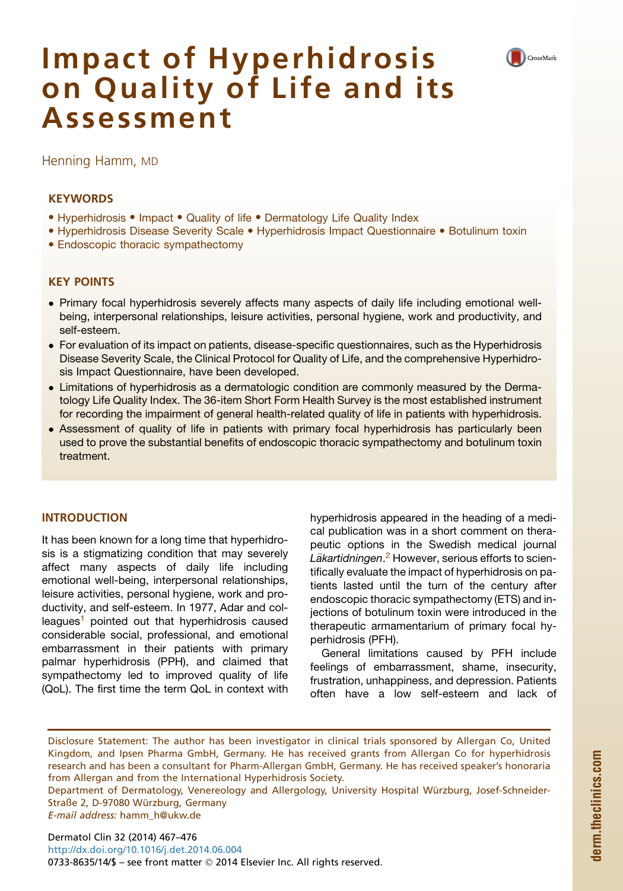

# Impact of Hyperhidrosis on Quality of Life and its Assessment

Henning Hamm, MD

## **KEYWORDS**

- Hyperhidrosis Impact Quality of life Dermatology Life Quality Index
- Hyperhidrosis Disease Severity Scale Hyperhidrosis Impact Questionnaire Botulinum toxin
- Endoscopic thoracic sympathectomy

# KEY POINTS

- Primary focal hyperhidrosis severely affects many aspects of daily life including emotional wellbeing, interpersonal relationships, leisure activities, personal hygiene, work and productivity, and self-esteem.
- For evaluation of its impact on patients, disease-specific questionnaires, such as the Hyperhidrosis Disease Severity Scale, the Clinical Protocol for Quality of Life, and the comprehensive Hyperhidrosis Impact Questionnaire, have been developed.
- Limitations of hyperhidrosis as a dermatologic condition are commonly measured by the Dermatology Life Quality Index. The 36-item Short Form Health Survey is the most established instrument for recording the impairment of general health-related quality of life in patients with hyperhidrosis.
- Assessment of quality of life in patients with primary focal hyperhidrosis has particularly been used to prove the substantial benefits of endoscopic thoracic sympathectomy and botulinum toxin treatment.

# INTRODUCTION

It has been known for a long time that hyperhidrosis is a stigmatizing condition that may severely affect many aspects of daily life including emotional well-being, interpersonal relationships, leisure activities, personal hygiene, work and productivity, and self-esteem. In 1977, Adar and col-leagues<sup>[1](#page-6-0)</sup> pointed out that hyperhidrosis caused considerable social, professional, and emotional embarrassment in their patients with primary palmar hyperhidrosis (PPH), and claimed that sympathectomy led to improved quality of life (QoL). The first time the term QoL in context with hyperhidrosis appeared in the heading of a medical publication was in a short comment on therapeutic options in the Swedish medical journal L*äkartidningen*.<sup>[2](#page-6-0)</sup> However, serious efforts to scientifically evaluate the impact of hyperhidrosis on patients lasted until the turn of the century after endoscopic thoracic sympathectomy (ETS) and injections of botulinum toxin were introduced in the therapeutic armamentarium of primary focal hyperhidrosis (PFH).

General limitations caused by PFH include feelings of embarrassment, shame, insecurity, frustration, unhappiness, and depression. Patients often have a low self-esteem and lack of

Disclosure Statement: The author has been investigator in clinical trials sponsored by Allergan Co, United Kingdom, and Ipsen Pharma GmbH, Germany. He has received grants from Allergan Co for hyperhidrosis research and has been a consultant for Pharm-Allergan GmbH, Germany. He has received speaker's honoraria from Allergan and from the International Hyperhidrosis Society. Department of Dermatology, Venereology and Allergology, University Hospital Würzburg, Josef-Schneider-Straße 2, D-97080 Würzburg, Germany E-mail address: [hamm\\_h@ukw.de](mailto:hamm_h@ukw.de)

Dermatol Clin 32 (2014) 467–476 <http://dx.doi.org/10.1016/j.det.2014.06.004> 0733-8635/14/\$ - see front matter © 2014 Elsevier Inc. All rights reserved.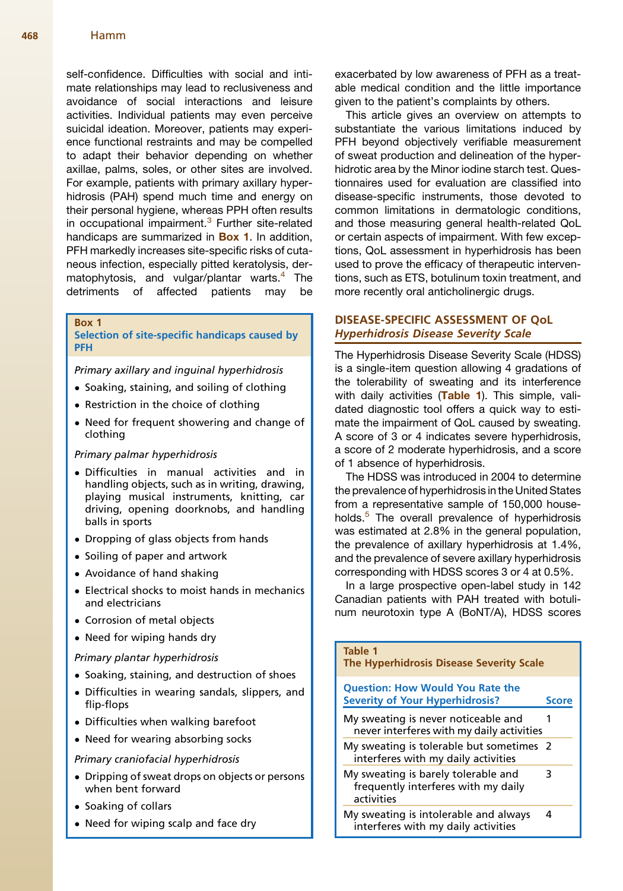#### 468 Hamm

self-confidence. Difficulties with social and intimate relationships may lead to reclusiveness and avoidance of social interactions and leisure activities. Individual patients may even perceive suicidal ideation. Moreover, patients may experience functional restraints and may be compelled to adapt their behavior depending on whether axillae, palms, soles, or other sites are involved. For example, patients with primary axillary hyperhidrosis (PAH) spend much time and energy on their personal hygiene, whereas PPH often results in occupational impairment.<sup>[3](#page-6-0)</sup> Further site-related handicaps are summarized in **Box 1**. In addition, PFH markedly increases site-specific risks of cutaneous infection, especially pitted keratolysis, dermatophytosis, and vulgar/plantar warts. $4$  The detriments of affected patients may be

# Box 1

Selection of site-specific handicaps caused by PFH

Primary axillary and inguinal hyperhidrosis

- Soaking, staining, and soiling of clothing
- Restriction in the choice of clothing
- Need for frequent showering and change of clothing

# Primary palmar hyperhidrosis

- Difficulties in manual activities and in handling objects, such as in writing, drawing, playing musical instruments, knitting, car driving, opening doorknobs, and handling balls in sports
- Dropping of glass objects from hands
- Soiling of paper and artwork
- Avoidance of hand shaking
- Electrical shocks to moist hands in mechanics and electricians
- Corrosion of metal objects
- Need for wiping hands dry

#### Primary plantar hyperhidrosis

- Soaking, staining, and destruction of shoes
- Difficulties in wearing sandals, slippers, and flip-flops
- Difficulties when walking barefoot
- Need for wearing absorbing socks

#### Primary craniofacial hyperhidrosis

- Dripping of sweat drops on objects or persons when bent forward
- Soaking of collars
- Need for wiping scalp and face dry

exacerbated by low awareness of PFH as a treatable medical condition and the little importance given to the patient's complaints by others.

This article gives an overview on attempts to substantiate the various limitations induced by PFH beyond objectively verifiable measurement of sweat production and delineation of the hyperhidrotic area by the Minor iodine starch test. Questionnaires used for evaluation are classified into disease-specific instruments, those devoted to common limitations in dermatologic conditions, and those measuring general health-related QoL or certain aspects of impairment. With few exceptions, QoL assessment in hyperhidrosis has been used to prove the efficacy of therapeutic interventions, such as ETS, botulinum toxin treatment, and more recently oral anticholinergic drugs.

# DISEASE-SPECIFIC ASSESSMENT OF QoL Hyperhidrosis Disease Severity Scale

The Hyperhidrosis Disease Severity Scale (HDSS) is a single-item question allowing 4 gradations of the tolerability of sweating and its interference with daily activities (Table 1). This simple, validated diagnostic tool offers a quick way to estimate the impairment of QoL caused by sweating. A score of 3 or 4 indicates severe hyperhidrosis, a score of 2 moderate hyperhidrosis, and a score of 1 absence of hyperhidrosis.

The HDSS was introduced in 2004 to determine the prevalence of hyperhidrosis in the United States from a representative sample of 150,000 house-holds.<sup>[5](#page-6-0)</sup> The overall prevalence of hyperhidrosis was estimated at 2.8% in the general population, the prevalence of axillary hyperhidrosis at 1.4%, and the prevalence of severe axillary hyperhidrosis corresponding with HDSS scores 3 or 4 at 0.5%.

In a large prospective open-label study in 142 Canadian patients with PAH treated with botulinum neurotoxin type A (BoNT/A), HDSS scores

| Table 1<br>The Hyperhidrosis Disease Severity Scale                                      |       |
|------------------------------------------------------------------------------------------|-------|
| <b>Ouestion: How Would You Rate the</b><br><b>Severity of Your Hyperhidrosis?</b>        | Score |
| My sweating is never noticeable and<br>never interferes with my daily activities         | 1     |
| My sweating is tolerable but sometimes 2<br>interferes with my daily activities          |       |
| My sweating is barely tolerable and<br>frequently interferes with my daily<br>activities | 3     |
| My sweating is intolerable and always<br>interferes with my daily activities             | 4     |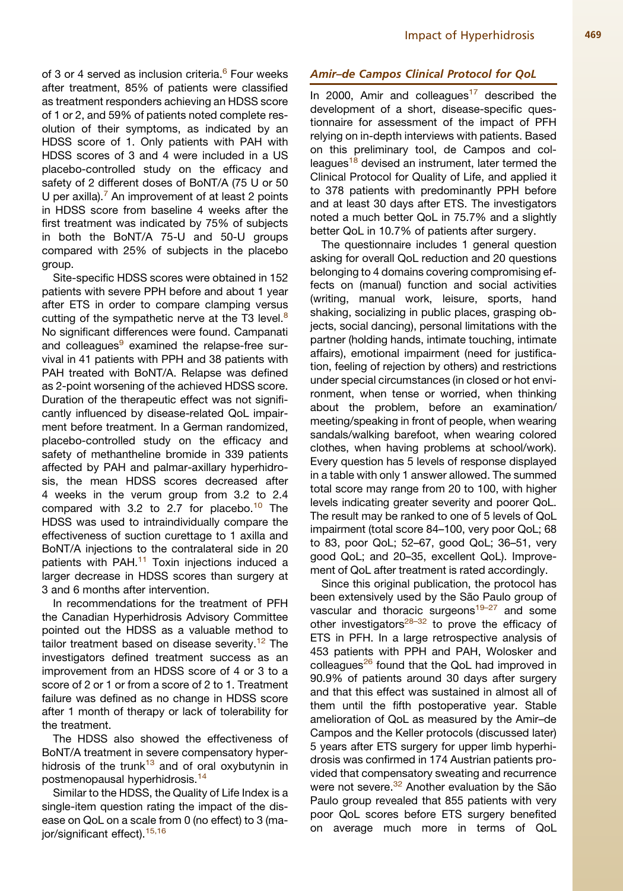of 3 or 4 served as inclusion criteria.<sup>[6](#page-6-0)</sup> Four weeks after treatment, 85% of patients were classified as treatment responders achieving an HDSS score of 1 or 2, and 59% of patients noted complete resolution of their symptoms, as indicated by an HDSS score of 1. Only patients with PAH with HDSS scores of 3 and 4 were included in a US placebo-controlled study on the efficacy and safety of 2 different doses of BoNT/A (75 U or 50 U per axilla).<sup>[7](#page-6-0)</sup> An improvement of at least 2 points in HDSS score from baseline 4 weeks after the first treatment was indicated by 75% of subjects in both the BoNT/A 75-U and 50-U groups compared with 25% of subjects in the placebo group.

Site-specific HDSS scores were obtained in 152 patients with severe PPH before and about 1 year after ETS in order to compare clamping versus cutting of the sympathetic nerve at the T3 level.<sup>[8](#page-6-0)</sup> No significant differences were found. Campanati and colleagues<sup>[9](#page-6-0)</sup> examined the relapse-free survival in 41 patients with PPH and 38 patients with PAH treated with BoNT/A. Relapse was defined as 2-point worsening of the achieved HDSS score. Duration of the therapeutic effect was not significantly influenced by disease-related QoL impairment before treatment. In a German randomized, placebo-controlled study on the efficacy and safety of methantheline bromide in 339 patients affected by PAH and palmar-axillary hyperhidrosis, the mean HDSS scores decreased after 4 weeks in the verum group from 3.2 to 2.4 compared with 3.2 to 2.7 for placebo.<sup>[10](#page-7-0)</sup> The HDSS was used to intraindividually compare the effectiveness of suction curettage to 1 axilla and BoNT/A injections to the contralateral side in 20 patients with PAH.<sup>[11](#page-7-0)</sup> Toxin injections induced a larger decrease in HDSS scores than surgery at 3 and 6 months after intervention.

In recommendations for the treatment of PFH the Canadian Hyperhidrosis Advisory Committee pointed out the HDSS as a valuable method to tailor treatment based on disease severity.<sup>12</sup> The investigators defined treatment success as an improvement from an HDSS score of 4 or 3 to a score of 2 or 1 or from a score of 2 to 1. Treatment failure was defined as no change in HDSS score after 1 month of therapy or lack of tolerability for the treatment.

The HDSS also showed the effectiveness of BoNT/A treatment in severe compensatory hyper-hidrosis of the trunk<sup>[13](#page-7-0)</sup> and of oral oxybutynin in postmenopausal hyperhidrosis.<sup>[14](#page-7-0)</sup>

Similar to the HDSS, the Quality of Life Index is a single-item question rating the impact of the disease on QoL on a scale from 0 (no effect) to 3 (ma-jor/significant effect).<sup>[15,16](#page-7-0)</sup>

#### Amir–de Campos Clinical Protocol for QoL

In 2000, Amir and colleagues<sup>[17](#page-7-0)</sup> described the development of a short, disease-specific questionnaire for assessment of the impact of PFH relying on in-depth interviews with patients. Based on this preliminary tool, de Campos and col-leagues<sup>[18](#page-7-0)</sup> devised an instrument, later termed the Clinical Protocol for Quality of Life, and applied it to 378 patients with predominantly PPH before and at least 30 days after ETS. The investigators noted a much better QoL in 75.7% and a slightly better QoL in 10.7% of patients after surgery.

The questionnaire includes 1 general question asking for overall QoL reduction and 20 questions belonging to 4 domains covering compromising effects on (manual) function and social activities (writing, manual work, leisure, sports, hand shaking, socializing in public places, grasping objects, social dancing), personal limitations with the partner (holding hands, intimate touching, intimate affairs), emotional impairment (need for justification, feeling of rejection by others) and restrictions under special circumstances (in closed or hot environment, when tense or worried, when thinking about the problem, before an examination/ meeting/speaking in front of people, when wearing sandals/walking barefoot, when wearing colored clothes, when having problems at school/work). Every question has 5 levels of response displayed in a table with only 1 answer allowed. The summed total score may range from 20 to 100, with higher levels indicating greater severity and poorer QoL. The result may be ranked to one of 5 levels of QoL impairment (total score 84–100, very poor QoL; 68 to 83, poor QoL; 52–67, good QoL; 36–51, very good QoL; and 20–35, excellent QoL). Improvement of QoL after treatment is rated accordingly.

Since this original publication, the protocol has been extensively used by the São Paulo group of vascular and thoracic surgeons $19-27$  and some other investigators $28-32$  to prove the efficacy of ETS in PFH. In a large retrospective analysis of 453 patients with PPH and PAH, Wolosker and colleagues<sup>[26](#page-7-0)</sup> found that the QoL had improved in 90.9% of patients around 30 days after surgery and that this effect was sustained in almost all of them until the fifth postoperative year. Stable amelioration of QoL as measured by the Amir–de Campos and the Keller protocols (discussed later) 5 years after ETS surgery for upper limb hyperhidrosis was confirmed in 174 Austrian patients provided that compensatory sweating and recurrence were not severe.<sup>[32](#page-7-0)</sup> Another evaluation by the São Paulo group revealed that 855 patients with very poor QoL scores before ETS surgery benefited on average much more in terms of QoL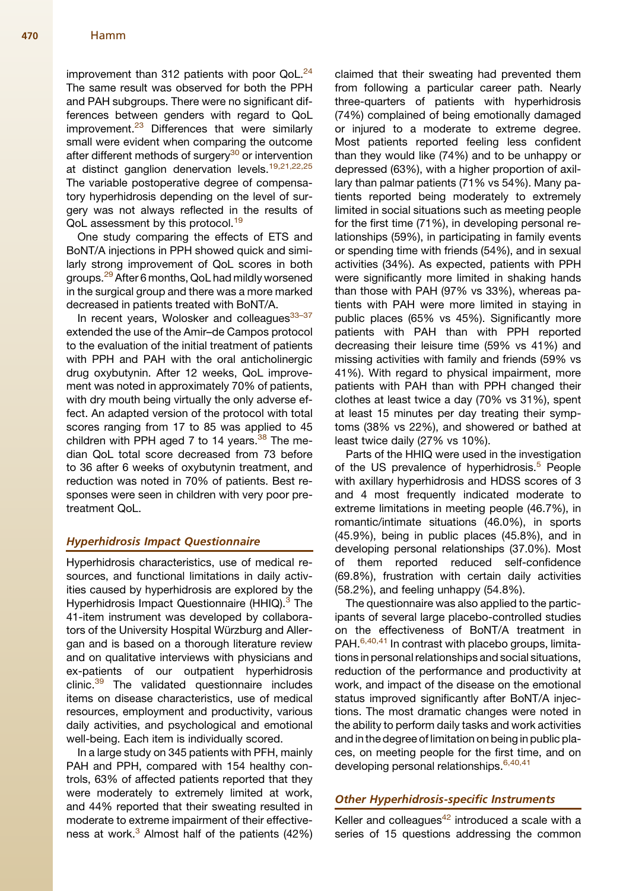improvement than 312 patients with poor  $QoL<sup>24</sup>$ The same result was observed for both the PPH and PAH subgroups. There were no significant differences between genders with regard to QoL improvement.<sup>[23](#page-7-0)</sup> Differences that were similarly small were evident when comparing the outcome after different methods of surgery<sup>[30](#page-7-0)</sup> or intervention at distinct ganglion denervation levels.<sup>[19,21,22,25](#page-7-0)</sup> The variable postoperative degree of compensatory hyperhidrosis depending on the level of surgery was not always reflected in the results of QoL assessment by this protocol.<sup>[19](#page-7-0)</sup>

One study comparing the effects of ETS and BoNT/A injections in PPH showed quick and similarly strong improvement of QoL scores in both groups.<sup>[29](#page-7-0)</sup> After 6 months, QoL had mildly worsened in the surgical group and there was a more marked decreased in patients treated with BoNT/A.

In recent years, Wolosker and colleagues<sup>33-37</sup> extended the use of the Amir–de Campos protocol to the evaluation of the initial treatment of patients with PPH and PAH with the oral anticholinergic drug oxybutynin. After 12 weeks, QoL improvement was noted in approximately 70% of patients, with dry mouth being virtually the only adverse effect. An adapted version of the protocol with total scores ranging from 17 to 85 was applied to 45 children with PPH aged 7 to 14 years. $38$  The median QoL total score decreased from 73 before to 36 after 6 weeks of oxybutynin treatment, and reduction was noted in 70% of patients. Best responses were seen in children with very poor pretreatment QoL.

#### Hyperhidrosis Impact Questionnaire

Hyperhidrosis characteristics, use of medical resources, and functional limitations in daily activities caused by hyperhidrosis are explored by the Hyperhidrosis Impact Questionnaire (HHIQ).<sup>[3](#page-6-0)</sup> The 41-item instrument was developed by collaborators of the University Hospital Würzburg and Allergan and is based on a thorough literature review and on qualitative interviews with physicians and ex-patients of our outpatient hyperhidrosis clinic.<sup>[39](#page-8-0)</sup> The validated questionnaire includes items on disease characteristics, use of medical resources, employment and productivity, various daily activities, and psychological and emotional well-being. Each item is individually scored.

In a large study on 345 patients with PFH, mainly PAH and PPH, compared with 154 healthy controls, 63% of affected patients reported that they were moderately to extremely limited at work, and 44% reported that their sweating resulted in moderate to extreme impairment of their effectiveness at work. $3$  Almost half of the patients (42%) claimed that their sweating had prevented them from following a particular career path. Nearly three-quarters of patients with hyperhidrosis (74%) complained of being emotionally damaged or injured to a moderate to extreme degree. Most patients reported feeling less confident than they would like (74%) and to be unhappy or depressed (63%), with a higher proportion of axillary than palmar patients (71% vs 54%). Many patients reported being moderately to extremely limited in social situations such as meeting people for the first time (71%), in developing personal relationships (59%), in participating in family events or spending time with friends (54%), and in sexual activities (34%). As expected, patients with PPH were significantly more limited in shaking hands than those with PAH (97% vs 33%), whereas patients with PAH were more limited in staying in public places (65% vs 45%). Significantly more patients with PAH than with PPH reported decreasing their leisure time (59% vs 41%) and missing activities with family and friends (59% vs 41%). With regard to physical impairment, more patients with PAH than with PPH changed their clothes at least twice a day (70% vs 31%), spent at least 15 minutes per day treating their symptoms (38% vs 22%), and showered or bathed at least twice daily (27% vs 10%).

Parts of the HHIQ were used in the investigation of the US prevalence of hyperhidrosis.<sup>[5](#page-6-0)</sup> People with axillary hyperhidrosis and HDSS scores of 3 and 4 most frequently indicated moderate to extreme limitations in meeting people (46.7%), in romantic/intimate situations (46.0%), in sports (45.9%), being in public places (45.8%), and in developing personal relationships (37.0%). Most of them reported reduced self-confidence (69.8%), frustration with certain daily activities (58.2%), and feeling unhappy (54.8%).

The questionnaire was also applied to the participants of several large placebo-controlled studies on the effectiveness of BoNT/A treatment in PAH.<sup>6,40,41</sup> In contrast with placebo groups, limitations in personal relationships and social situations, reduction of the performance and productivity at work, and impact of the disease on the emotional status improved significantly after BoNT/A injections. The most dramatic changes were noted in the ability to perform daily tasks and work activities and in the degree of limitation on being in public places, on meeting people for the first time, and on developing personal relationships.<sup>[6,40,41](#page-6-0)</sup>

# Other Hyperhidrosis-specific Instruments

Keller and colleagues $42$  introduced a scale with a series of 15 questions addressing the common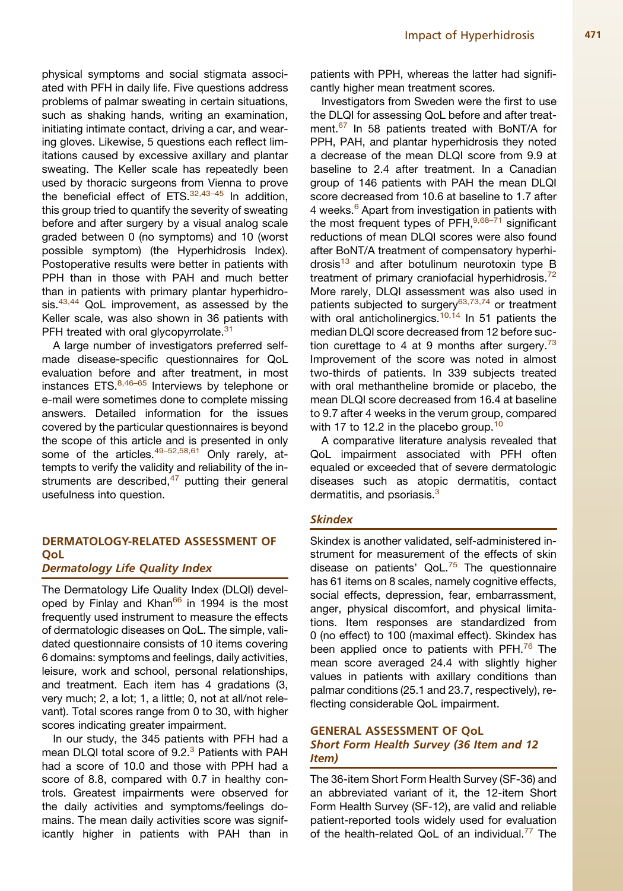physical symptoms and social stigmata associated with PFH in daily life. Five questions address problems of palmar sweating in certain situations, such as shaking hands, writing an examination, initiating intimate contact, driving a car, and wearing gloves. Likewise, 5 questions each reflect limitations caused by excessive axillary and plantar sweating. The Keller scale has repeatedly been used by thoracic surgeons from Vienna to prove the beneficial effect of ETS. $32,43-45$  In addition, this group tried to quantify the severity of sweating before and after surgery by a visual analog scale graded between 0 (no symptoms) and 10 (worst possible symptom) (the Hyperhidrosis Index). Postoperative results were better in patients with PPH than in those with PAH and much better than in patients with primary plantar hyperhidro-sis.<sup>[43,44](#page-8-0)</sup> QoL improvement, as assessed by the Keller scale, was also shown in 36 patients with PFH treated with oral glycopyrrolate.<sup>[31](#page-7-0)</sup>

A large number of investigators preferred selfmade disease-specific questionnaires for QoL evaluation before and after treatment, in most instances ETS.<sup>8,46-65</sup> Interviews by telephone or e-mail were sometimes done to complete missing answers. Detailed information for the issues covered by the particular questionnaires is beyond the scope of this article and is presented in only some of the articles.  $49-52,58,61$  Only rarely, attempts to verify the validity and reliability of the instruments are described, $47$  putting their general usefulness into question.

## DERMATOLOGY-RELATED ASSESSMENT OF **OoL** Dermatology Life Quality Index

The Dermatology Life Quality Index (DLQI) developed by Finlay and Khan $66$  in 1994 is the most frequently used instrument to measure the effects of dermatologic diseases on QoL. The simple, validated questionnaire consists of 10 items covering 6 domains: symptoms and feelings, daily activities, leisure, work and school, personal relationships, and treatment. Each item has 4 gradations (3, very much; 2, a lot; 1, a little; 0, not at all/not relevant). Total scores range from 0 to 30, with higher scores indicating greater impairment.

In our study, the 345 patients with PFH had a mean DLQI total score of 9.2.<sup>[3](#page-6-0)</sup> Patients with PAH had a score of 10.0 and those with PPH had a score of 8.8, compared with 0.7 in healthy controls. Greatest impairments were observed for the daily activities and symptoms/feelings domains. The mean daily activities score was significantly higher in patients with PAH than in patients with PPH, whereas the latter had significantly higher mean treatment scores.

Investigators from Sweden were the first to use the DLQI for assessing QoL before and after treat-ment.<sup>[67](#page-9-0)</sup> In 58 patients treated with BoNT/A for PPH, PAH, and plantar hyperhidrosis they noted a decrease of the mean DLQI score from 9.9 at baseline to 2.4 after treatment. In a Canadian group of 146 patients with PAH the mean DLQI score decreased from 10.6 at baseline to 1.7 after 4 weeks.<sup>[6](#page-6-0)</sup> Apart from investigation in patients with the most frequent types of PFH,  $9,68-71$  significant reductions of mean DLQI scores were also found after BoNT/A treatment of compensatory hyperhi-drosis<sup>[13](#page-7-0)</sup> and after botulinum neurotoxin type B treatment of primary craniofacial hyperhidrosis. $72$ More rarely, DLQI assessment was also used in patients subjected to surgery<sup>[63,73,74](#page-8-0)</sup> or treatment with oral anticholinergics.<sup>[10,14](#page-7-0)</sup> In 51 patients the median DLQI score decreased from 12 before suction curettage to 4 at 9 months after surgery. $73$ Improvement of the score was noted in almost two-thirds of patients. In 339 subjects treated with oral methantheline bromide or placebo, the mean DLQI score decreased from 16.4 at baseline to 9.7 after 4 weeks in the verum group, compared with 17 to 12.2 in the placebo group.<sup>[10](#page-7-0)</sup>

A comparative literature analysis revealed that QoL impairment associated with PFH often equaled or exceeded that of severe dermatologic diseases such as atopic dermatitis, contact dermatitis, and psoriasis.<sup>[3](#page-6-0)</sup>

#### **Skindex**

Skindex is another validated, self-administered instrument for measurement of the effects of skin disease on patients' QoL.<sup>[75](#page-9-0)</sup> The questionnaire has 61 items on 8 scales, namely cognitive effects, social effects, depression, fear, embarrassment, anger, physical discomfort, and physical limitations. Item responses are standardized from 0 (no effect) to 100 (maximal effect). Skindex has been applied once to patients with PFH.<sup>[76](#page-9-0)</sup> The mean score averaged 24.4 with slightly higher values in patients with axillary conditions than palmar conditions (25.1 and 23.7, respectively), reflecting considerable QoL impairment.

# GENERAL ASSESSMENT OF QoL Short Form Health Survey (36 Item and 12 Item)

The 36-item Short Form Health Survey (SF-36) and an abbreviated variant of it, the 12-item Short Form Health Survey (SF-12), are valid and reliable patient-reported tools widely used for evaluation of the health-related QoL of an individual.<sup>[77](#page-9-0)</sup> The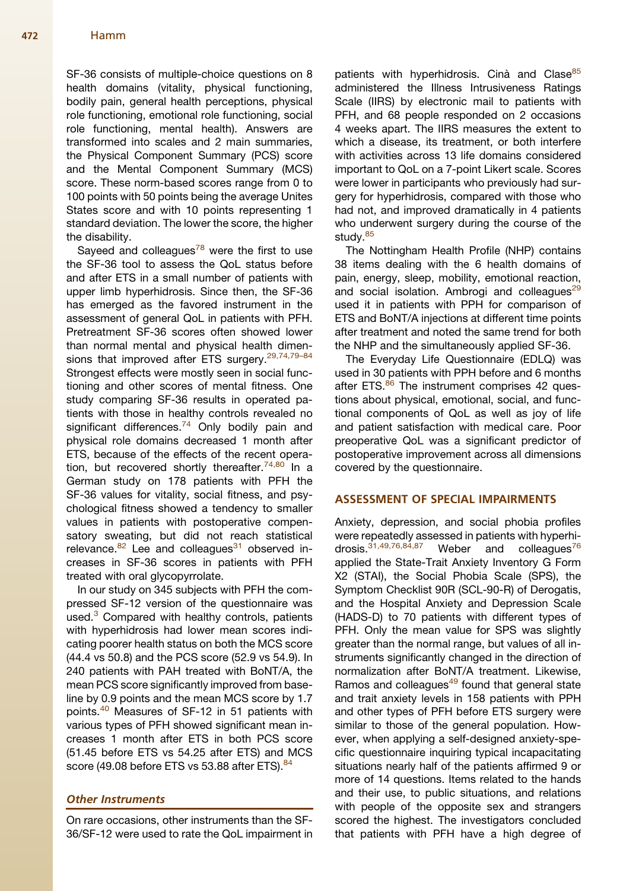SF-36 consists of multiple-choice questions on 8 health domains (vitality, physical functioning, bodily pain, general health perceptions, physical role functioning, emotional role functioning, social role functioning, mental health). Answers are transformed into scales and 2 main summaries, the Physical Component Summary (PCS) score and the Mental Component Summary (MCS) score. These norm-based scores range from 0 to 100 points with 50 points being the average Unites States score and with 10 points representing 1 standard deviation. The lower the score, the higher the disability.

Sayeed and colleagues $^{78}$  $^{78}$  $^{78}$  were the first to use the SF-36 tool to assess the QoL status before and after ETS in a small number of patients with upper limb hyperhidrosis. Since then, the SF-36 has emerged as the favored instrument in the assessment of general QoL in patients with PFH. Pretreatment SF-36 scores often showed lower than normal mental and physical health dimensions that improved after ETS surgery.<sup>29,74,79-84</sup> Strongest effects were mostly seen in social functioning and other scores of mental fitness. One study comparing SF-36 results in operated patients with those in healthy controls revealed no significant differences. $74$  Only bodily pain and physical role domains decreased 1 month after ETS, because of the effects of the recent opera-tion, but recovered shortly thereafter.<sup>[74,80](#page-9-0)</sup> In a German study on 178 patients with PFH the SF-36 values for vitality, social fitness, and psychological fitness showed a tendency to smaller values in patients with postoperative compensatory sweating, but did not reach statistical relevance.<sup>[82](#page-9-0)</sup> Lee and colleagues<sup>[31](#page-7-0)</sup> observed increases in SF-36 scores in patients with PFH treated with oral glycopyrrolate.

In our study on 345 subjects with PFH the compressed SF-12 version of the questionnaire was used.<sup>[3](#page-6-0)</sup> Compared with healthy controls, patients with hyperhidrosis had lower mean scores indicating poorer health status on both the MCS score (44.4 vs 50.8) and the PCS score (52.9 vs 54.9). In 240 patients with PAH treated with BoNT/A, the mean PCS score significantly improved from baseline by 0.9 points and the mean MCS score by 1.7 points.<sup>[40](#page-8-0)</sup> Measures of SF-12 in 51 patients with various types of PFH showed significant mean increases 1 month after ETS in both PCS score (51.45 before ETS vs 54.25 after ETS) and MCS score (49.08 before ETS vs 53.88 after ETS). [84](#page-9-0)

#### Other Instruments

On rare occasions, other instruments than the SF-36/SF-12 were used to rate the QoL impairment in patients with hyperhidrosis. Cinà and Clase<sup>[85](#page-9-0)</sup> administered the Illness Intrusiveness Ratings Scale (IIRS) by electronic mail to patients with PFH, and 68 people responded on 2 occasions 4 weeks apart. The IIRS measures the extent to which a disease, its treatment, or both interfere with activities across 13 life domains considered important to QoL on a 7-point Likert scale. Scores were lower in participants who previously had surgery for hyperhidrosis, compared with those who had not, and improved dramatically in 4 patients who underwent surgery during the course of the study.<sup>85</sup>

The Nottingham Health Profile (NHP) contains 38 items dealing with the 6 health domains of pain, energy, sleep, mobility, emotional reaction, and social isolation. Ambrogi and colleagues<sup>[29](#page-7-0)</sup> used it in patients with PPH for comparison of ETS and BoNT/A injections at different time points after treatment and noted the same trend for both the NHP and the simultaneously applied SF-36.

The Everyday Life Questionnaire (EDLQ) was used in 30 patients with PPH before and 6 months after ETS.<sup>[86](#page-9-0)</sup> The instrument comprises 42 questions about physical, emotional, social, and functional components of QoL as well as joy of life and patient satisfaction with medical care. Poor preoperative QoL was a significant predictor of postoperative improvement across all dimensions covered by the questionnaire.

# ASSESSMENT OF SPECIAL IMPAIRMENTS

Anxiety, depression, and social phobia profiles were repeatedly assessed in patients with hyperhidrosis.  $31,49,76,84,87$  Weber and colleagues<sup>76</sup> Weber and colleagues<sup>[76](#page-9-0)</sup> applied the State-Trait Anxiety Inventory G Form X2 (STAI), the Social Phobia Scale (SPS), the Symptom Checklist 90R (SCL-90-R) of Derogatis, and the Hospital Anxiety and Depression Scale (HADS-D) to 70 patients with different types of PFH. Only the mean value for SPS was slightly greater than the normal range, but values of all instruments significantly changed in the direction of normalization after BoNT/A treatment. Likewise, Ramos and colleagues<sup>[49](#page-8-0)</sup> found that general state and trait anxiety levels in 158 patients with PPH and other types of PFH before ETS surgery were similar to those of the general population. However, when applying a self-designed anxiety-specific questionnaire inquiring typical incapacitating situations nearly half of the patients affirmed 9 or more of 14 questions. Items related to the hands and their use, to public situations, and relations with people of the opposite sex and strangers scored the highest. The investigators concluded that patients with PFH have a high degree of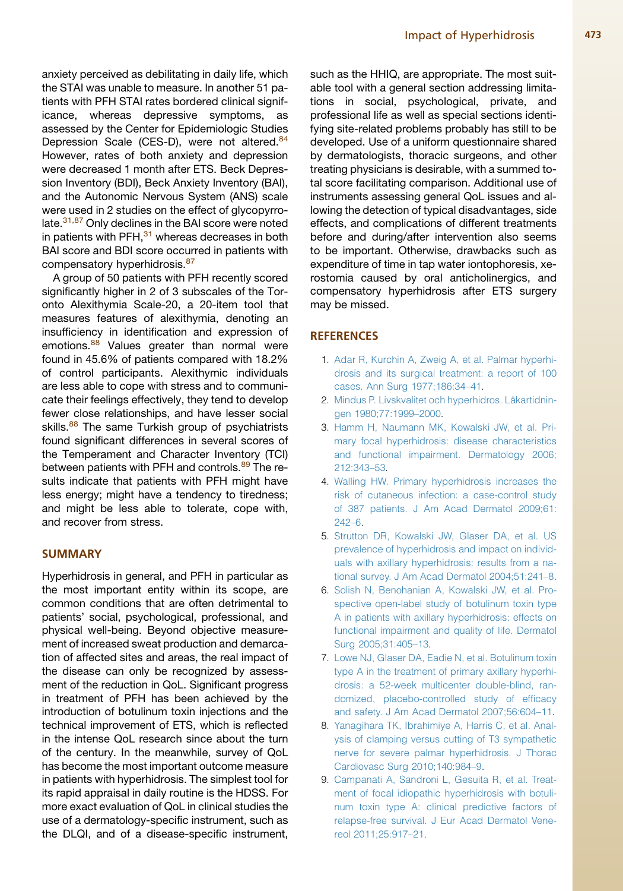<span id="page-6-0"></span>anxiety perceived as debilitating in daily life, which the STAI was unable to measure. In another 51 patients with PFH STAI rates bordered clinical significance, whereas depressive symptoms, as assessed by the Center for Epidemiologic Studies Depression Scale (CES-D), were not altered.<sup>[84](#page-9-0)</sup> However, rates of both anxiety and depression were decreased 1 month after ETS. Beck Depression Inventory (BDI), Beck Anxiety Inventory (BAI), and the Autonomic Nervous System (ANS) scale were used in 2 studies on the effect of glycopyrro-late.<sup>[31,87](#page-7-0)</sup> Only declines in the BAI score were noted in patients with PFH, $31$  whereas decreases in both BAI score and BDI score occurred in patients with compensatory hyperhidrosis.<sup>87</sup>

A group of 50 patients with PFH recently scored significantly higher in 2 of 3 subscales of the Toronto Alexithymia Scale-20, a 20-item tool that measures features of alexithymia, denoting an insufficiency in identification and expression of emotions.<sup>[88](#page-9-0)</sup> Values greater than normal were found in 45.6% of patients compared with 18.2% of control participants. Alexithymic individuals are less able to cope with stress and to communicate their feelings effectively, they tend to develop fewer close relationships, and have lesser social skills.<sup>[88](#page-9-0)</sup> The same Turkish group of psychiatrists found significant differences in several scores of the Temperament and Character Inventory (TCI) between patients with PFH and controls.<sup>[89](#page-9-0)</sup> The results indicate that patients with PFH might have less energy; might have a tendency to tiredness; and might be less able to tolerate, cope with, and recover from stress.

#### SUMMARY

Hyperhidrosis in general, and PFH in particular as the most important entity within its scope, are common conditions that are often detrimental to patients' social, psychological, professional, and physical well-being. Beyond objective measurement of increased sweat production and demarcation of affected sites and areas, the real impact of the disease can only be recognized by assessment of the reduction in QoL. Significant progress in treatment of PFH has been achieved by the introduction of botulinum toxin injections and the technical improvement of ETS, which is reflected in the intense QoL research since about the turn of the century. In the meanwhile, survey of QoL has become the most important outcome measure in patients with hyperhidrosis. The simplest tool for its rapid appraisal in daily routine is the HDSS. For more exact evaluation of QoL in clinical studies the use of a dermatology-specific instrument, such as the DLQI, and of a disease-specific instrument, such as the HHIQ, are appropriate. The most suitable tool with a general section addressing limitations in social, psychological, private, and professional life as well as special sections identifying site-related problems probably has still to be developed. Use of a uniform questionnaire shared by dermatologists, thoracic surgeons, and other treating physicians is desirable, with a summed total score facilitating comparison. Additional use of instruments assessing general QoL issues and allowing the detection of typical disadvantages, side effects, and complications of different treatments before and during/after intervention also seems to be important. Otherwise, drawbacks such as expenditure of time in tap water iontophoresis, xerostomia caused by oral anticholinergics, and compensatory hyperhidrosis after ETS surgery may be missed.

#### **REFERENCES**

- 1. [Adar R, Kurchin A, Zweig A, et al. Palmar hyperhi](http://refhub.elsevier.com/S0733-8635(14)00071-0/sref1)[drosis and its surgical treatment: a report of 100](http://refhub.elsevier.com/S0733-8635(14)00071-0/sref1) [cases. Ann Surg 1977;186:34–41](http://refhub.elsevier.com/S0733-8635(14)00071-0/sref1).
- 2. Mindus P. Livskvalitet och hyperhidros. Läkartidnin[gen 1980;77:1999–2000.](http://refhub.elsevier.com/S0733-8635(14)00071-0/sref2)
- 3. [Hamm H, Naumann MK, Kowalski JW, et al. Pri](http://refhub.elsevier.com/S0733-8635(14)00071-0/sref3)[mary focal hyperhidrosis: disease characteristics](http://refhub.elsevier.com/S0733-8635(14)00071-0/sref3) [and functional impairment. Dermatology 2006;](http://refhub.elsevier.com/S0733-8635(14)00071-0/sref3) [212:343–53.](http://refhub.elsevier.com/S0733-8635(14)00071-0/sref3)
- 4. [Walling HW. Primary hyperhidrosis increases the](http://refhub.elsevier.com/S0733-8635(14)00071-0/sref4) [risk of cutaneous infection: a case-control study](http://refhub.elsevier.com/S0733-8635(14)00071-0/sref4) [of 387 patients. J Am Acad Dermatol 2009;61:](http://refhub.elsevier.com/S0733-8635(14)00071-0/sref4) [242–6.](http://refhub.elsevier.com/S0733-8635(14)00071-0/sref4)
- 5. [Strutton DR, Kowalski JW, Glaser DA, et al. US](http://refhub.elsevier.com/S0733-8635(14)00071-0/sref5) [prevalence of hyperhidrosis and impact on individ](http://refhub.elsevier.com/S0733-8635(14)00071-0/sref5)[uals with axillary hyperhidrosis: results from a na](http://refhub.elsevier.com/S0733-8635(14)00071-0/sref5)[tional survey. J Am Acad Dermatol 2004;51:241–8](http://refhub.elsevier.com/S0733-8635(14)00071-0/sref5).
- 6. [Solish N, Benohanian A, Kowalski JW, et al. Pro](http://refhub.elsevier.com/S0733-8635(14)00071-0/sref6)[spective open-label study of botulinum toxin type](http://refhub.elsevier.com/S0733-8635(14)00071-0/sref6) [A in patients with axillary hyperhidrosis: effects on](http://refhub.elsevier.com/S0733-8635(14)00071-0/sref6) [functional impairment and quality of life. Dermatol](http://refhub.elsevier.com/S0733-8635(14)00071-0/sref6) [Surg 2005;31:405–13.](http://refhub.elsevier.com/S0733-8635(14)00071-0/sref6)
- 7. [Lowe NJ, Glaser DA, Eadie N, et al. Botulinum toxin](http://refhub.elsevier.com/S0733-8635(14)00071-0/sref7) [type A in the treatment of primary axillary hyperhi](http://refhub.elsevier.com/S0733-8635(14)00071-0/sref7)[drosis: a 52-week multicenter double-blind, ran](http://refhub.elsevier.com/S0733-8635(14)00071-0/sref7)[domized, placebo-controlled study of efficacy](http://refhub.elsevier.com/S0733-8635(14)00071-0/sref7) [and safety. J Am Acad Dermatol 2007;56:604–11.](http://refhub.elsevier.com/S0733-8635(14)00071-0/sref7)
- 8. [Yanagihara TK, Ibrahimiye A, Harris C, et al. Anal](http://refhub.elsevier.com/S0733-8635(14)00071-0/sref8)[ysis of clamping versus cutting of T3 sympathetic](http://refhub.elsevier.com/S0733-8635(14)00071-0/sref8) [nerve for severe palmar hyperhidrosis. J Thorac](http://refhub.elsevier.com/S0733-8635(14)00071-0/sref8) [Cardiovasc Surg 2010;140:984–9.](http://refhub.elsevier.com/S0733-8635(14)00071-0/sref8)
- 9. [Campanati A, Sandroni L, Gesuita R, et al. Treat](http://refhub.elsevier.com/S0733-8635(14)00071-0/sref9)[ment of focal idiopathic hyperhidrosis with botuli](http://refhub.elsevier.com/S0733-8635(14)00071-0/sref9)[num toxin type A: clinical predictive factors of](http://refhub.elsevier.com/S0733-8635(14)00071-0/sref9) [relapse-free survival. J Eur Acad Dermatol Vene](http://refhub.elsevier.com/S0733-8635(14)00071-0/sref9)[reol 2011;25:917–21.](http://refhub.elsevier.com/S0733-8635(14)00071-0/sref9)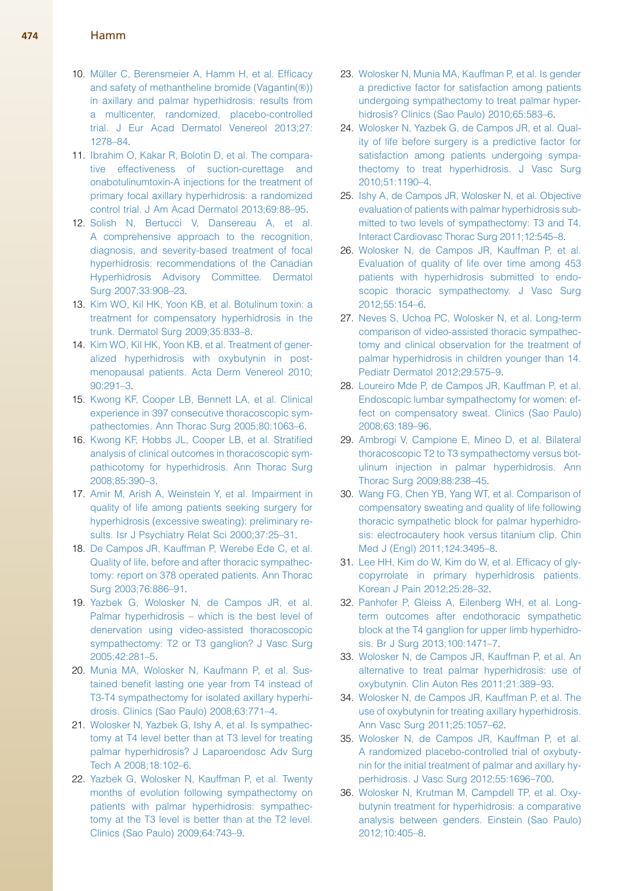- <span id="page-7-0"></span>10. Müller C, Berensmeier A, Hamm H, et al. Efficacy [and safety of methantheline bromide \(Vagantin\(](http://refhub.elsevier.com/S0733-8635(14)00071-0/sref10)®[\)\)](http://refhub.elsevier.com/S0733-8635(14)00071-0/sref10) [in axillary and palmar hyperhidrosis: results from](http://refhub.elsevier.com/S0733-8635(14)00071-0/sref10) [a multicenter, randomized, placebo-controlled](http://refhub.elsevier.com/S0733-8635(14)00071-0/sref10) [trial. J Eur Acad Dermatol Venereol 2013;27:](http://refhub.elsevier.com/S0733-8635(14)00071-0/sref10) [1278–84](http://refhub.elsevier.com/S0733-8635(14)00071-0/sref10).
- 11. [Ibrahim O, Kakar R, Bolotin D, et al. The compara](http://refhub.elsevier.com/S0733-8635(14)00071-0/sref11)[tive effectiveness of suction-curettage and](http://refhub.elsevier.com/S0733-8635(14)00071-0/sref11) [onabotulinumtoxin-A injections for the treatment of](http://refhub.elsevier.com/S0733-8635(14)00071-0/sref11) [primary focal axillary hyperhidrosis: a randomized](http://refhub.elsevier.com/S0733-8635(14)00071-0/sref11) [control trial. J Am Acad Dermatol 2013;69:88–95](http://refhub.elsevier.com/S0733-8635(14)00071-0/sref11).
- 12. [Solish N, Bertucci V, Dansereau A, et al.](http://refhub.elsevier.com/S0733-8635(14)00071-0/sref12) [A comprehensive approach to the recognition,](http://refhub.elsevier.com/S0733-8635(14)00071-0/sref12) [diagnosis, and severity-based treatment of focal](http://refhub.elsevier.com/S0733-8635(14)00071-0/sref12) [hyperhidrosis: recommendations of the Canadian](http://refhub.elsevier.com/S0733-8635(14)00071-0/sref12) [Hyperhidrosis Advisory Committee. Dermatol](http://refhub.elsevier.com/S0733-8635(14)00071-0/sref12) [Surg 2007;33:908–23](http://refhub.elsevier.com/S0733-8635(14)00071-0/sref12).
- 13. [Kim WO, Kil HK, Yoon KB, et al. Botulinum toxin: a](http://refhub.elsevier.com/S0733-8635(14)00071-0/sref13) [treatment for compensatory hyperhidrosis in the](http://refhub.elsevier.com/S0733-8635(14)00071-0/sref13) [trunk. Dermatol Surg 2009;35:833–8](http://refhub.elsevier.com/S0733-8635(14)00071-0/sref13).
- 14. [Kim WO, Kil HK, Yoon KB, et al. Treatment of gener](http://refhub.elsevier.com/S0733-8635(14)00071-0/sref14)[alized hyperhidrosis with oxybutynin in post](http://refhub.elsevier.com/S0733-8635(14)00071-0/sref14)[menopausal patients. Acta Derm Venereol 2010;](http://refhub.elsevier.com/S0733-8635(14)00071-0/sref14) [90:291–3.](http://refhub.elsevier.com/S0733-8635(14)00071-0/sref14)
- 15. [Kwong KF, Cooper LB, Bennett LA, et al. Clinical](http://refhub.elsevier.com/S0733-8635(14)00071-0/sref15) [experience in 397 consecutive thoracoscopic sym](http://refhub.elsevier.com/S0733-8635(14)00071-0/sref15)[pathectomies. Ann Thorac Surg 2005;80:1063–6](http://refhub.elsevier.com/S0733-8635(14)00071-0/sref15).
- 16. [Kwong KF, Hobbs JL, Cooper LB, et al. Stratified](http://refhub.elsevier.com/S0733-8635(14)00071-0/sref16) [analysis of clinical outcomes in thoracoscopic sym](http://refhub.elsevier.com/S0733-8635(14)00071-0/sref16)[pathicotomy for hyperhidrosis. Ann Thorac Surg](http://refhub.elsevier.com/S0733-8635(14)00071-0/sref16) [2008;85:390–3](http://refhub.elsevier.com/S0733-8635(14)00071-0/sref16).
- 17. [Amir M, Arish A, Weinstein Y, et al. Impairment in](http://refhub.elsevier.com/S0733-8635(14)00071-0/sref17) [quality of life among patients seeking surgery for](http://refhub.elsevier.com/S0733-8635(14)00071-0/sref17) [hyperhidrosis \(excessive sweating\): preliminary re](http://refhub.elsevier.com/S0733-8635(14)00071-0/sref17)[sults. Isr J Psychiatry Relat Sci 2000;37:25–31](http://refhub.elsevier.com/S0733-8635(14)00071-0/sref17).
- 18. [De Campos JR, Kauffman P, Werebe Ede C, et al.](http://refhub.elsevier.com/S0733-8635(14)00071-0/sref18) [Quality of life, before and after thoracic sympathec](http://refhub.elsevier.com/S0733-8635(14)00071-0/sref18)[tomy: report on 378 operated patients. Ann Thorac](http://refhub.elsevier.com/S0733-8635(14)00071-0/sref18) [Surg 2003;76:886–91](http://refhub.elsevier.com/S0733-8635(14)00071-0/sref18).
- 19. [Yazbek G, Wolosker N, de Campos JR, et al.](http://refhub.elsevier.com/S0733-8635(14)00071-0/sref19) [Palmar hyperhidrosis – which is the best level of](http://refhub.elsevier.com/S0733-8635(14)00071-0/sref19) [denervation using video-assisted thoracoscopic](http://refhub.elsevier.com/S0733-8635(14)00071-0/sref19) [sympathectomy: T2 or T3 ganglion? J Vasc Surg](http://refhub.elsevier.com/S0733-8635(14)00071-0/sref19) [2005;42:281–5](http://refhub.elsevier.com/S0733-8635(14)00071-0/sref19).
- 20. [Munia MA, Wolosker N, Kaufmann P, et al. Sus](http://refhub.elsevier.com/S0733-8635(14)00071-0/sref20)[tained benefit lasting one year from T4 instead of](http://refhub.elsevier.com/S0733-8635(14)00071-0/sref20) [T3-T4 sympathectomy for isolated axillary hyperhi](http://refhub.elsevier.com/S0733-8635(14)00071-0/sref20)[drosis. Clinics \(Sao Paulo\) 2008;63:771–4](http://refhub.elsevier.com/S0733-8635(14)00071-0/sref20).
- 21. [Wolosker N, Yazbek G, Ishy A, et al. Is sympathec](http://refhub.elsevier.com/S0733-8635(14)00071-0/sref21)[tomy at T4 level better than at T3 level for treating](http://refhub.elsevier.com/S0733-8635(14)00071-0/sref21) [palmar hyperhidrosis? J Laparoendosc Adv Surg](http://refhub.elsevier.com/S0733-8635(14)00071-0/sref21) [Tech A 2008;18:102–6.](http://refhub.elsevier.com/S0733-8635(14)00071-0/sref21)
- 22. [Yazbek G, Wolosker N, Kauffman P, et al. Twenty](http://refhub.elsevier.com/S0733-8635(14)00071-0/sref22) [months of evolution following sympathectomy on](http://refhub.elsevier.com/S0733-8635(14)00071-0/sref22) [patients with palmar hyperhidrosis: sympathec](http://refhub.elsevier.com/S0733-8635(14)00071-0/sref22)[tomy at the T3 level is better than at the T2 level.](http://refhub.elsevier.com/S0733-8635(14)00071-0/sref22) [Clinics \(Sao Paulo\) 2009;64:743–9.](http://refhub.elsevier.com/S0733-8635(14)00071-0/sref22)
- 23. [Wolosker N, Munia MA, Kauffman P, et al. Is gender](http://refhub.elsevier.com/S0733-8635(14)00071-0/sref23) [a predictive factor for satisfaction among patients](http://refhub.elsevier.com/S0733-8635(14)00071-0/sref23) [undergoing sympathectomy to treat palmar hyper](http://refhub.elsevier.com/S0733-8635(14)00071-0/sref23)[hidrosis? Clinics \(Sao Paulo\) 2010;65:583–6](http://refhub.elsevier.com/S0733-8635(14)00071-0/sref23).
- 24. [Wolosker N, Yazbek G, de Campos JR, et al. Qual](http://refhub.elsevier.com/S0733-8635(14)00071-0/sref24)[ity of life before surgery is a predictive factor for](http://refhub.elsevier.com/S0733-8635(14)00071-0/sref24) [satisfaction among patients undergoing sympa](http://refhub.elsevier.com/S0733-8635(14)00071-0/sref24)[thectomy to treat hyperhidrosis. J Vasc Surg](http://refhub.elsevier.com/S0733-8635(14)00071-0/sref24) [2010;51:1190–4.](http://refhub.elsevier.com/S0733-8635(14)00071-0/sref24)
- 25. [Ishy A, de Campos JR, Wolosker N, et al. Objective](http://refhub.elsevier.com/S0733-8635(14)00071-0/sref25) [evaluation of patients with palmar hyperhidrosis sub](http://refhub.elsevier.com/S0733-8635(14)00071-0/sref25)[mitted to two levels of sympathectomy: T3 and T4.](http://refhub.elsevier.com/S0733-8635(14)00071-0/sref25) [Interact Cardiovasc Thorac Surg 2011;12:545–8.](http://refhub.elsevier.com/S0733-8635(14)00071-0/sref25)
- 26. [Wolosker N, de Campos JR, Kauffman P, et al.](http://refhub.elsevier.com/S0733-8635(14)00071-0/sref26) [Evaluation of quality of life over time among 453](http://refhub.elsevier.com/S0733-8635(14)00071-0/sref26) [patients with hyperhidrosis submitted to endo](http://refhub.elsevier.com/S0733-8635(14)00071-0/sref26)[scopic thoracic sympathectomy. J Vasc Surg](http://refhub.elsevier.com/S0733-8635(14)00071-0/sref26) [2012;55:154–6.](http://refhub.elsevier.com/S0733-8635(14)00071-0/sref26)
- 27. [Neves S, Uchoa PC, Wolosker N, et al. Long-term](http://refhub.elsevier.com/S0733-8635(14)00071-0/sref27) [comparison of video-assisted thoracic sympathec](http://refhub.elsevier.com/S0733-8635(14)00071-0/sref27)[tomy and clinical observation for the treatment of](http://refhub.elsevier.com/S0733-8635(14)00071-0/sref27) [palmar hyperhidrosis in children younger than 14.](http://refhub.elsevier.com/S0733-8635(14)00071-0/sref27) [Pediatr Dermatol 2012;29:575–9](http://refhub.elsevier.com/S0733-8635(14)00071-0/sref27).
- 28. [Loureiro Mde P, de Campos JR, Kauffman P, et al.](http://refhub.elsevier.com/S0733-8635(14)00071-0/sref28) [Endoscopic lumbar sympathectomy for women: ef](http://refhub.elsevier.com/S0733-8635(14)00071-0/sref28)[fect on compensatory sweat. Clinics \(Sao Paulo\)](http://refhub.elsevier.com/S0733-8635(14)00071-0/sref28) [2008;63:189–96.](http://refhub.elsevier.com/S0733-8635(14)00071-0/sref28)
- 29. [Ambrogi V, Campione E, Mineo D, et al. Bilateral](http://refhub.elsevier.com/S0733-8635(14)00071-0/sref29) [thoracoscopic T2 to T3 sympathectomy versus bot](http://refhub.elsevier.com/S0733-8635(14)00071-0/sref29)[ulinum injection in palmar hyperhidrosis. Ann](http://refhub.elsevier.com/S0733-8635(14)00071-0/sref29) [Thorac Surg 2009;88:238–45.](http://refhub.elsevier.com/S0733-8635(14)00071-0/sref29)
- 30. [Wang FG, Chen YB, Yang WT, et al. Comparison of](http://refhub.elsevier.com/S0733-8635(14)00071-0/sref30) [compensatory sweating and quality of life following](http://refhub.elsevier.com/S0733-8635(14)00071-0/sref30) [thoracic sympathetic block for palmar hyperhidro](http://refhub.elsevier.com/S0733-8635(14)00071-0/sref30)[sis: electrocautery hook versus titanium clip. Chin](http://refhub.elsevier.com/S0733-8635(14)00071-0/sref30) [Med J \(Engl\) 2011;124:3495–8](http://refhub.elsevier.com/S0733-8635(14)00071-0/sref30).
- 31. [Lee HH, Kim do W, Kim do W, et al. Efficacy of gly](http://refhub.elsevier.com/S0733-8635(14)00071-0/sref31)[copyrrolate in primary hyperhidrosis patients.](http://refhub.elsevier.com/S0733-8635(14)00071-0/sref31) [Korean J Pain 2012;25:28–32](http://refhub.elsevier.com/S0733-8635(14)00071-0/sref31).
- 32. [Panhofer P, Gleiss A, Eilenberg WH, et al. Long](http://refhub.elsevier.com/S0733-8635(14)00071-0/sref32)[term outcomes after endothoracic sympathetic](http://refhub.elsevier.com/S0733-8635(14)00071-0/sref32) [block at the T4 ganglion for upper limb hyperhidro](http://refhub.elsevier.com/S0733-8635(14)00071-0/sref32)[sis. Br J Surg 2013;100:1471–7.](http://refhub.elsevier.com/S0733-8635(14)00071-0/sref32)
- 33. [Wolosker N, de Campos JR, Kauffman P, et al. An](http://refhub.elsevier.com/S0733-8635(14)00071-0/sref33) [alternative to treat palmar hyperhidrosis: use of](http://refhub.elsevier.com/S0733-8635(14)00071-0/sref33) [oxybutynin. Clin Auton Res 2011;21:389–93](http://refhub.elsevier.com/S0733-8635(14)00071-0/sref33).
- 34. [Wolosker N, de Campos JR, Kauffman P, et al. The](http://refhub.elsevier.com/S0733-8635(14)00071-0/sref34) [use of oxybutynin for treating axillary hyperhidrosis.](http://refhub.elsevier.com/S0733-8635(14)00071-0/sref34) [Ann Vasc Surg 2011;25:1057–62](http://refhub.elsevier.com/S0733-8635(14)00071-0/sref34).
- 35. [Wolosker N, de Campos JR, Kauffman P, et al.](http://refhub.elsevier.com/S0733-8635(14)00071-0/sref35) [A randomized placebo-controlled trial of oxybuty](http://refhub.elsevier.com/S0733-8635(14)00071-0/sref35)[nin for the initial treatment of palmar and axillary hy](http://refhub.elsevier.com/S0733-8635(14)00071-0/sref35)[perhidrosis. J Vasc Surg 2012;55:1696–700](http://refhub.elsevier.com/S0733-8635(14)00071-0/sref35).
- 36. [Wolosker N, Krutman M, Campdell TP, et al. Oxy](http://refhub.elsevier.com/S0733-8635(14)00071-0/sref36)[butynin treatment for hyperhidrosis: a comparative](http://refhub.elsevier.com/S0733-8635(14)00071-0/sref36) [analysis between genders. Einstein \(Sao Paulo\)](http://refhub.elsevier.com/S0733-8635(14)00071-0/sref36) [2012;10:405–8.](http://refhub.elsevier.com/S0733-8635(14)00071-0/sref36)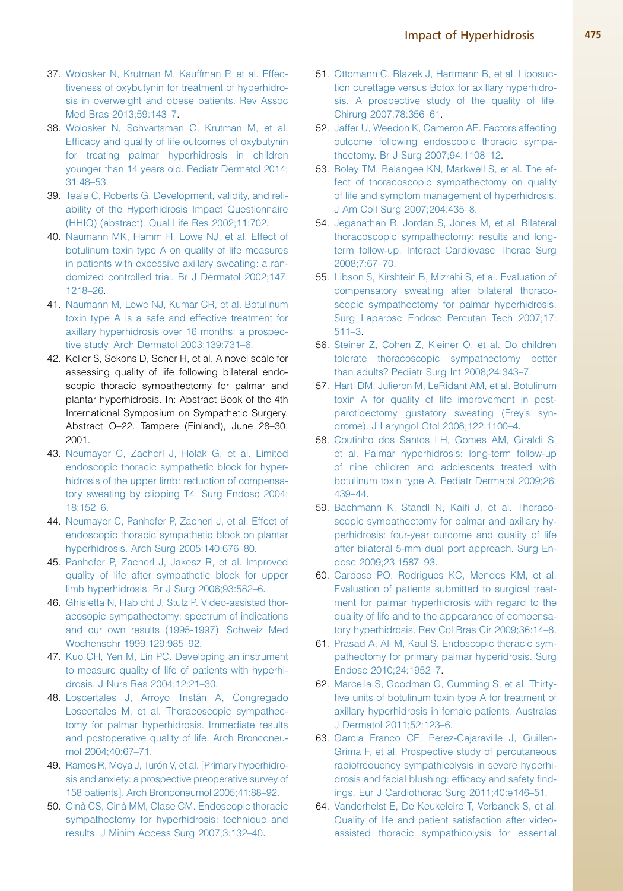- <span id="page-8-0"></span>37. [Wolosker N, Krutman M, Kauffman P, et al. Effec](http://refhub.elsevier.com/S0733-8635(14)00071-0/sref37)[tiveness of oxybutynin for treatment of hyperhidro](http://refhub.elsevier.com/S0733-8635(14)00071-0/sref37)[sis in overweight and obese patients. Rev Assoc](http://refhub.elsevier.com/S0733-8635(14)00071-0/sref37) [Med Bras 2013;59:143–7](http://refhub.elsevier.com/S0733-8635(14)00071-0/sref37).
- 38. [Wolosker N, Schvartsman C, Krutman M, et al.](http://refhub.elsevier.com/S0733-8635(14)00071-0/sref38) [Efficacy and quality of life outcomes of oxybutynin](http://refhub.elsevier.com/S0733-8635(14)00071-0/sref38) [for treating palmar hyperhidrosis in children](http://refhub.elsevier.com/S0733-8635(14)00071-0/sref38) [younger than 14 years old. Pediatr Dermatol 2014;](http://refhub.elsevier.com/S0733-8635(14)00071-0/sref38) [31:48–53.](http://refhub.elsevier.com/S0733-8635(14)00071-0/sref38)
- 39. [Teale C, Roberts G. Development, validity, and reli](http://refhub.elsevier.com/S0733-8635(14)00071-0/sref39)[ability of the Hyperhidrosis Impact Questionnaire](http://refhub.elsevier.com/S0733-8635(14)00071-0/sref39) [\(HHIQ\) \(abstract\). Qual Life Res 2002;11:702](http://refhub.elsevier.com/S0733-8635(14)00071-0/sref39).
- 40. [Naumann MK, Hamm H, Lowe NJ, et al. Effect of](http://refhub.elsevier.com/S0733-8635(14)00071-0/sref40) [botulinum toxin type A on quality of life measures](http://refhub.elsevier.com/S0733-8635(14)00071-0/sref40) [in patients with excessive axillary sweating: a ran](http://refhub.elsevier.com/S0733-8635(14)00071-0/sref40)[domized controlled trial. Br J Dermatol 2002;147:](http://refhub.elsevier.com/S0733-8635(14)00071-0/sref40) [1218–26.](http://refhub.elsevier.com/S0733-8635(14)00071-0/sref40)
- 41. [Naumann M, Lowe NJ, Kumar CR, et al. Botulinum](http://refhub.elsevier.com/S0733-8635(14)00071-0/sref41) [toxin type A is a safe and effective treatment for](http://refhub.elsevier.com/S0733-8635(14)00071-0/sref41) [axillary hyperhidrosis over 16 months: a prospec](http://refhub.elsevier.com/S0733-8635(14)00071-0/sref41)[tive study. Arch Dermatol 2003;139:731–6.](http://refhub.elsevier.com/S0733-8635(14)00071-0/sref41)
- 42. Keller S, Sekons D, Scher H, et al. A novel scale for assessing quality of life following bilateral endoscopic thoracic sympathectomy for palmar and plantar hyperhidrosis. In: Abstract Book of the 4th International Symposium on Sympathetic Surgery. Abstract O–22. Tampere (Finland), June 28–30, 2001.
- 43. [Neumayer C, Zacherl J, Holak G, et al. Limited](http://refhub.elsevier.com/S0733-8635(14)00071-0/sref42) [endoscopic thoracic sympathetic block for hyper](http://refhub.elsevier.com/S0733-8635(14)00071-0/sref42)[hidrosis of the upper limb: reduction of compensa](http://refhub.elsevier.com/S0733-8635(14)00071-0/sref42)[tory sweating by clipping T4. Surg Endosc 2004;](http://refhub.elsevier.com/S0733-8635(14)00071-0/sref42) [18:152–6.](http://refhub.elsevier.com/S0733-8635(14)00071-0/sref42)
- 44. [Neumayer C, Panhofer P, Zacherl J, et al. Effect of](http://refhub.elsevier.com/S0733-8635(14)00071-0/sref43) [endoscopic thoracic sympathetic block on plantar](http://refhub.elsevier.com/S0733-8635(14)00071-0/sref43) [hyperhidrosis. Arch Surg 2005;140:676–80.](http://refhub.elsevier.com/S0733-8635(14)00071-0/sref43)
- 45. [Panhofer P, Zacherl J, Jakesz R, et al. Improved](http://refhub.elsevier.com/S0733-8635(14)00071-0/sref44) [quality of life after sympathetic block for upper](http://refhub.elsevier.com/S0733-8635(14)00071-0/sref44) [limb hyperhidrosis. Br J Surg 2006;93:582–6.](http://refhub.elsevier.com/S0733-8635(14)00071-0/sref44)
- 46. [Ghisletta N, Habicht J, Stulz P. Video-assisted thor](http://refhub.elsevier.com/S0733-8635(14)00071-0/sref45)[acosopic sympathectomy: spectrum of indications](http://refhub.elsevier.com/S0733-8635(14)00071-0/sref45) [and our own results \(1995-1997\). Schweiz Med](http://refhub.elsevier.com/S0733-8635(14)00071-0/sref45) [Wochenschr 1999;129:985–92](http://refhub.elsevier.com/S0733-8635(14)00071-0/sref45).
- 47. [Kuo CH, Yen M, Lin PC. Developing an instrument](http://refhub.elsevier.com/S0733-8635(14)00071-0/sref46) [to measure quality of life of patients with hyperhi](http://refhub.elsevier.com/S0733-8635(14)00071-0/sref46)[drosis. J Nurs Res 2004;12:21–30](http://refhub.elsevier.com/S0733-8635(14)00071-0/sref46).
- 48. Loscertales J, Arroyo Tristán A, Congregado [Loscertales M, et al. Thoracoscopic sympathec](http://refhub.elsevier.com/S0733-8635(14)00071-0/sref47)[tomy for palmar hyperhidrosis. Immediate results](http://refhub.elsevier.com/S0733-8635(14)00071-0/sref47) [and postoperative quality of life. Arch Bronconeu](http://refhub.elsevier.com/S0733-8635(14)00071-0/sref47)[mol 2004;40:67–71.](http://refhub.elsevier.com/S0733-8635(14)00071-0/sref47)
- 49. Ramos R, Moya J, Turón V, et al. [Primary hyperhidro[sis and anxiety: a prospective preoperative survey of](http://refhub.elsevier.com/S0733-8635(14)00071-0/sref48) [158 patients\]. Arch Bronconeumol 2005;41:88–92.](http://refhub.elsevier.com/S0733-8635(14)00071-0/sref48)
- 50. Cinà CS, Cinà [MM, Clase CM. Endoscopic thoracic](http://refhub.elsevier.com/S0733-8635(14)00071-0/sref49) [sympathectomy for hyperhidrosis: technique and](http://refhub.elsevier.com/S0733-8635(14)00071-0/sref49) [results. J Minim Access Surg 2007;3:132–40.](http://refhub.elsevier.com/S0733-8635(14)00071-0/sref49)
- 51. [Ottomann C, Blazek J, Hartmann B, et al. Liposuc](http://refhub.elsevier.com/S0733-8635(14)00071-0/sref50)[tion curettage versus Botox for axillary hyperhidro](http://refhub.elsevier.com/S0733-8635(14)00071-0/sref50)[sis. A prospective study of the quality of life.](http://refhub.elsevier.com/S0733-8635(14)00071-0/sref50) [Chirurg 2007;78:356–61](http://refhub.elsevier.com/S0733-8635(14)00071-0/sref50).
- 52. [Jaffer U, Weedon K, Cameron AE. Factors affecting](http://refhub.elsevier.com/S0733-8635(14)00071-0/sref51) [outcome following endoscopic thoracic sympa](http://refhub.elsevier.com/S0733-8635(14)00071-0/sref51)[thectomy. Br J Surg 2007;94:1108–12](http://refhub.elsevier.com/S0733-8635(14)00071-0/sref51).
- 53. [Boley TM, Belangee KN, Markwell S, et al. The ef](http://refhub.elsevier.com/S0733-8635(14)00071-0/sref52)[fect of thoracoscopic sympathectomy on quality](http://refhub.elsevier.com/S0733-8635(14)00071-0/sref52) [of life and symptom management of hyperhidrosis.](http://refhub.elsevier.com/S0733-8635(14)00071-0/sref52) [J Am Coll Surg 2007;204:435–8](http://refhub.elsevier.com/S0733-8635(14)00071-0/sref52).
- 54. [Jeganathan R, Jordan S, Jones M, et al. Bilateral](http://refhub.elsevier.com/S0733-8635(14)00071-0/sref53) [thoracoscopic sympathectomy: results and long](http://refhub.elsevier.com/S0733-8635(14)00071-0/sref53)[term follow-up. Interact Cardiovasc Thorac Surg](http://refhub.elsevier.com/S0733-8635(14)00071-0/sref53) [2008;7:67–70](http://refhub.elsevier.com/S0733-8635(14)00071-0/sref53).
- 55. [Libson S, Kirshtein B, Mizrahi S, et al. Evaluation of](http://refhub.elsevier.com/S0733-8635(14)00071-0/sref54) [compensatory sweating after bilateral thoraco](http://refhub.elsevier.com/S0733-8635(14)00071-0/sref54)[scopic sympathectomy for palmar hyperhidrosis.](http://refhub.elsevier.com/S0733-8635(14)00071-0/sref54) [Surg Laparosc Endosc Percutan Tech 2007;17:](http://refhub.elsevier.com/S0733-8635(14)00071-0/sref54) [511–3.](http://refhub.elsevier.com/S0733-8635(14)00071-0/sref54)
- 56. [Steiner Z, Cohen Z, Kleiner O, et al. Do children](http://refhub.elsevier.com/S0733-8635(14)00071-0/sref55) [tolerate thoracoscopic sympathectomy better](http://refhub.elsevier.com/S0733-8635(14)00071-0/sref55) [than adults? Pediatr Surg Int 2008;24:343–7.](http://refhub.elsevier.com/S0733-8635(14)00071-0/sref55)
- 57. [Hartl DM, Julieron M, LeRidant AM, et al. Botulinum](http://refhub.elsevier.com/S0733-8635(14)00071-0/sref56) [toxin A for quality of life improvement in post](http://refhub.elsevier.com/S0733-8635(14)00071-0/sref56)[parotidectomy gustatory sweating \(Frey's syn](http://refhub.elsevier.com/S0733-8635(14)00071-0/sref56)[drome\). J Laryngol Otol 2008;122:1100–4](http://refhub.elsevier.com/S0733-8635(14)00071-0/sref56).
- 58. [Coutinho dos Santos LH, Gomes AM, Giraldi S,](http://refhub.elsevier.com/S0733-8635(14)00071-0/sref57) [et al. Palmar hyperhidrosis: long-term follow-up](http://refhub.elsevier.com/S0733-8635(14)00071-0/sref57) [of nine children and adolescents treated with](http://refhub.elsevier.com/S0733-8635(14)00071-0/sref57) [botulinum toxin type A. Pediatr Dermatol 2009;26:](http://refhub.elsevier.com/S0733-8635(14)00071-0/sref57) [439–44](http://refhub.elsevier.com/S0733-8635(14)00071-0/sref57).
- 59. [Bachmann K, Standl N, Kaifi J, et al. Thoraco](http://refhub.elsevier.com/S0733-8635(14)00071-0/sref58)[scopic sympathectomy for palmar and axillary hy](http://refhub.elsevier.com/S0733-8635(14)00071-0/sref58)[perhidrosis: four-year outcome and quality of life](http://refhub.elsevier.com/S0733-8635(14)00071-0/sref58) [after bilateral 5-mm dual port approach. Surg En](http://refhub.elsevier.com/S0733-8635(14)00071-0/sref58)[dosc 2009;23:1587–93.](http://refhub.elsevier.com/S0733-8635(14)00071-0/sref58)
- 60. [Cardoso PO, Rodrigues KC, Mendes KM, et al.](http://refhub.elsevier.com/S0733-8635(14)00071-0/sref59) [Evaluation of patients submitted to surgical treat](http://refhub.elsevier.com/S0733-8635(14)00071-0/sref59)[ment for palmar hyperhidrosis with regard to the](http://refhub.elsevier.com/S0733-8635(14)00071-0/sref59) [quality of life and to the appearance of compensa](http://refhub.elsevier.com/S0733-8635(14)00071-0/sref59)[tory hyperhidrosis. Rev Col Bras Cir 2009;36:14–8](http://refhub.elsevier.com/S0733-8635(14)00071-0/sref59).
- 61. [Prasad A, Ali M, Kaul S. Endoscopic thoracic sym](http://refhub.elsevier.com/S0733-8635(14)00071-0/sref60)[pathectomy for primary palmar hyperidrosis. Surg](http://refhub.elsevier.com/S0733-8635(14)00071-0/sref60) [Endosc 2010;24:1952–7.](http://refhub.elsevier.com/S0733-8635(14)00071-0/sref60)
- 62. [Marcella S, Goodman G, Cumming S, et al. Thirty](http://refhub.elsevier.com/S0733-8635(14)00071-0/sref61)[five units of botulinum toxin type A for treatment of](http://refhub.elsevier.com/S0733-8635(14)00071-0/sref61) [axillary hyperhidrosis in female patients. Australas](http://refhub.elsevier.com/S0733-8635(14)00071-0/sref61) [J Dermatol 2011;52:123–6](http://refhub.elsevier.com/S0733-8635(14)00071-0/sref61).
- 63. [Garcia Franco CE, Perez-Cajaraville J, Guillen-](http://refhub.elsevier.com/S0733-8635(14)00071-0/sref62)[Grima F, et al. Prospective study of percutaneous](http://refhub.elsevier.com/S0733-8635(14)00071-0/sref62) [radiofrequency sympathicolysis in severe hyperhi](http://refhub.elsevier.com/S0733-8635(14)00071-0/sref62)[drosis and facial blushing: efficacy and safety find](http://refhub.elsevier.com/S0733-8635(14)00071-0/sref62)[ings. Eur J Cardiothorac Surg 2011;40:e146–51.](http://refhub.elsevier.com/S0733-8635(14)00071-0/sref62)
- 64. [Vanderhelst E, De Keukeleire T, Verbanck S, et al.](http://refhub.elsevier.com/S0733-8635(14)00071-0/sref63) [Quality of life and patient satisfaction after video](http://refhub.elsevier.com/S0733-8635(14)00071-0/sref63)[assisted thoracic sympathicolysis for essential](http://refhub.elsevier.com/S0733-8635(14)00071-0/sref63)